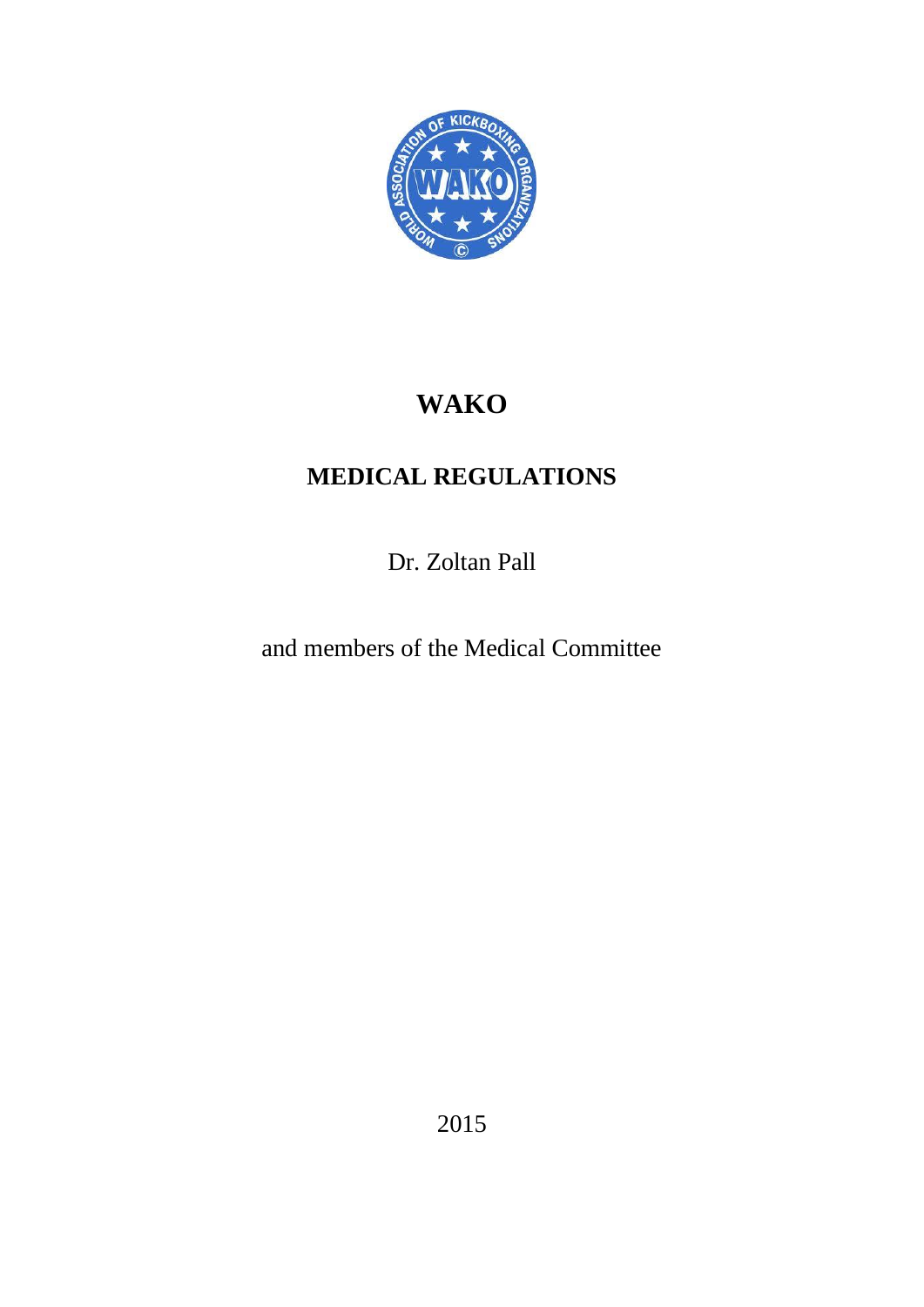

# **WAKO**

# **MEDICAL REGULATIONS**

Dr. Zoltan Pall

and members of the Medical Committee

2015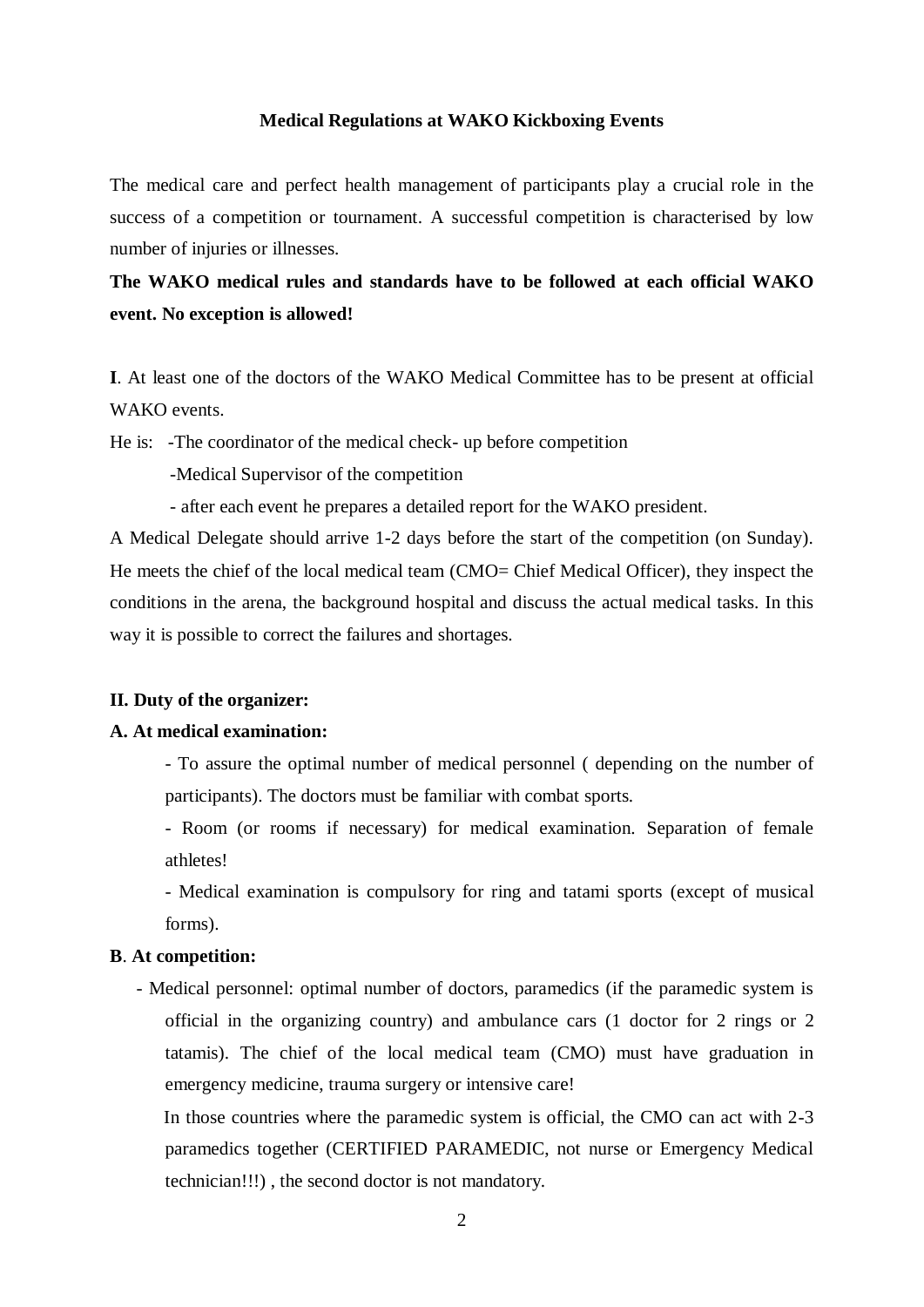#### **Medical Regulations at WAKO Kickboxing Events**

The medical care and perfect health management of participants play a crucial role in the success of a competition or tournament. A successful competition is characterised by low number of injuries or illnesses.

# **The WAKO medical rules and standards have to be followed at each official WAKO event. No exception is allowed!**

**I**. At least one of the doctors of the WAKO Medical Committee has to be present at official WAKO events.

He is: -The coordinator of the medical check- up before competition

-Medical Supervisor of the competition

- after each event he prepares a detailed report for the WAKO president.

A Medical Delegate should arrive 1-2 days before the start of the competition (on Sunday). He meets the chief of the local medical team (CMO= Chief Medical Officer), they inspect the conditions in the arena, the background hospital and discuss the actual medical tasks. In this way it is possible to correct the failures and shortages.

#### **II. Duty of the organizer:**

### **A. At medical examination:**

- To assure the optimal number of medical personnel ( depending on the number of participants). The doctors must be familiar with combat sports.
- Room (or rooms if necessary) for medical examination. Separation of female athletes!
- Medical examination is compulsory for ring and tatami sports (except of musical forms).

### **B**. **At competition:**

- Medical personnel: optimal number of doctors, paramedics (if the paramedic system is official in the organizing country) and ambulance cars (1 doctor for 2 rings or 2 tatamis). The chief of the local medical team (CMO) must have graduation in emergency medicine, trauma surgery or intensive care!

 In those countries where the paramedic system is official, the CMO can act with 2-3 paramedics together (CERTIFIED PARAMEDIC, not nurse or Emergency Medical technician!!!) , the second doctor is not mandatory.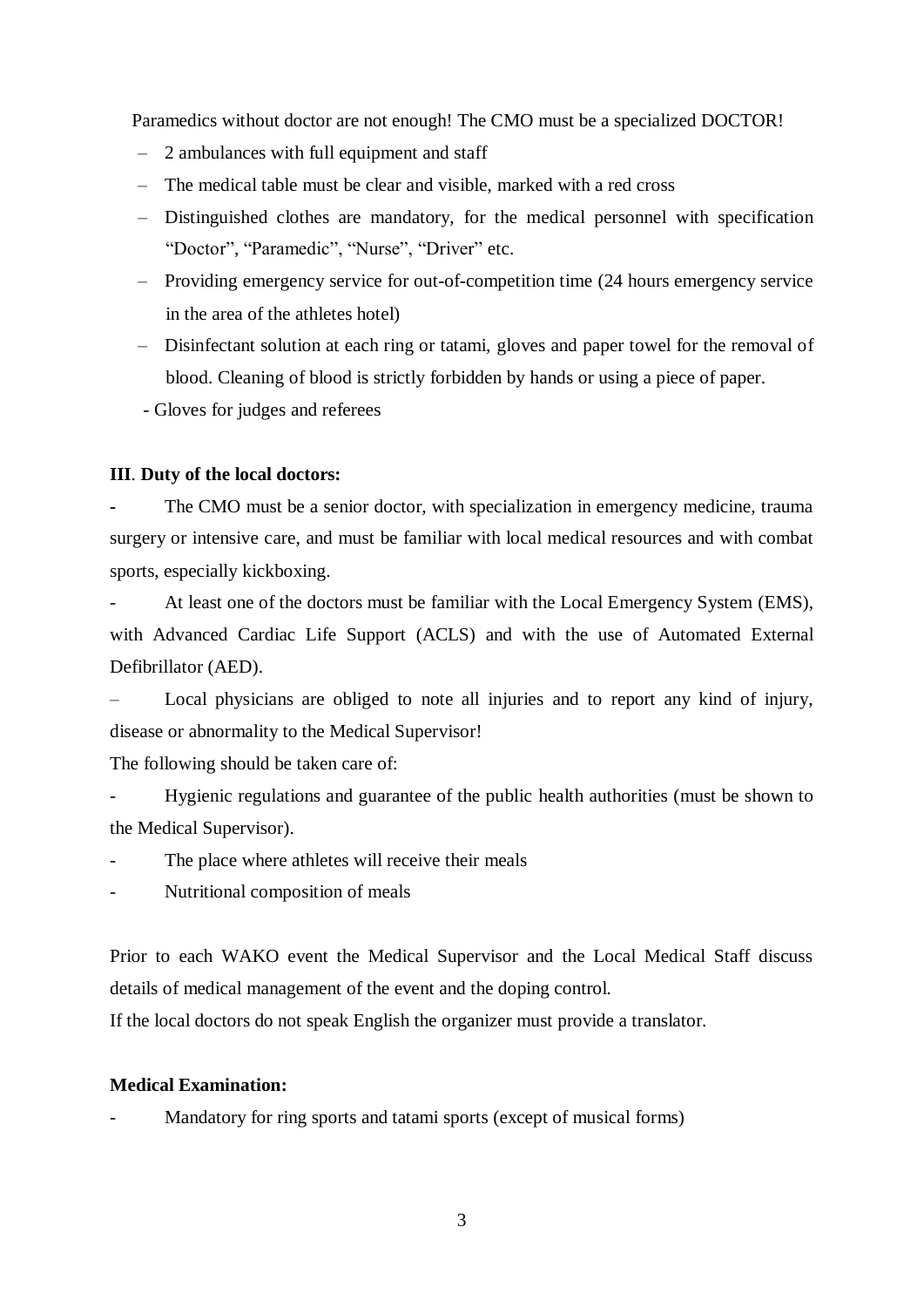Paramedics without doctor are not enough! The CMO must be a specialized DOCTOR!

- $-$  2 ambulances with full equipment and staff
- The medical table must be clear and visible, marked with a red cross
- Distinguished clothes are mandatory, for the medical personnel with specification "Doctor", "Paramedic", "Nurse", "Driver" etc.
- Providing emergency service for out-of-competition time (24 hours emergency service in the area of the athletes hotel)
- Disinfectant solution at each ring or tatami, gloves and paper towel for the removal of blood. Cleaning of blood is strictly forbidden by hands or using a piece of paper.
- Gloves for judges and referees

# **III**. **Duty of the local doctors:**

The CMO must be a senior doctor, with specialization in emergency medicine, trauma surgery or intensive care, and must be familiar with local medical resources and with combat sports, especially kickboxing.

At least one of the doctors must be familiar with the Local Emergency System (EMS), with Advanced Cardiac Life Support (ACLS) and with the use of Automated External Defibrillator (AED).

– Local physicians are obliged to note all injuries and to report any kind of injury, disease or abnormality to the Medical Supervisor!

The following should be taken care of:

Hygienic regulations and guarantee of the public health authorities (must be shown to the Medical Supervisor).

The place where athletes will receive their meals

- Nutritional composition of meals

Prior to each WAKO event the Medical Supervisor and the Local Medical Staff discuss details of medical management of the event and the doping control.

If the local doctors do not speak English the organizer must provide a translator.

# **Medical Examination:**

Mandatory for ring sports and tatami sports (except of musical forms)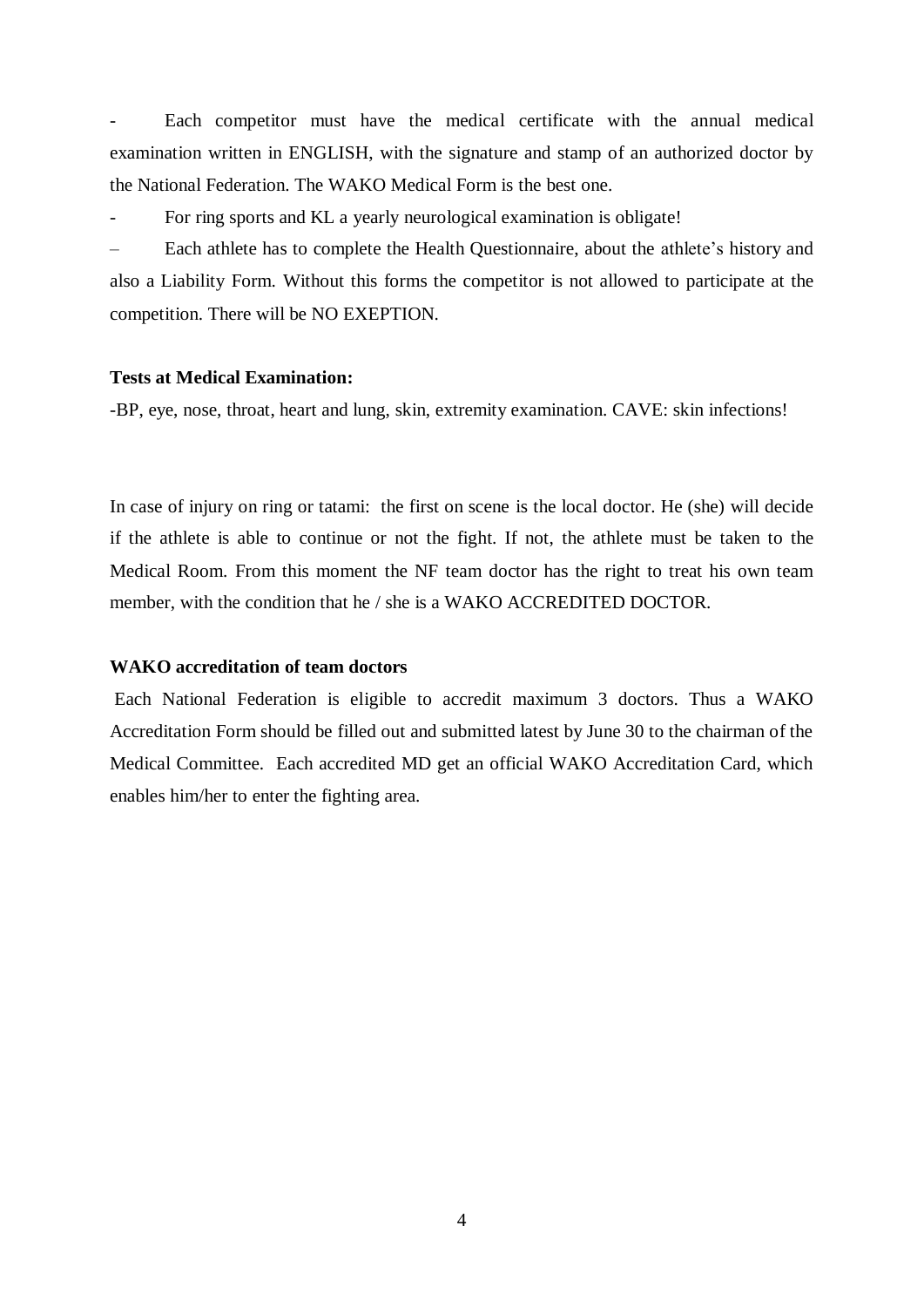Each competitor must have the medical certificate with the annual medical examination written in ENGLISH, with the signature and stamp of an authorized doctor by the National Federation. The WAKO Medical Form is the best one.

For ring sports and KL a yearly neurological examination is obligate!

– Each athlete has to complete the Health Questionnaire, about the athlete's history and also a Liability Form. Without this forms the competitor is not allowed to participate at the competition. There will be NO EXEPTION.

#### **Tests at Medical Examination:**

-BP, eye, nose, throat, heart and lung, skin, extremity examination. CAVE: skin infections!

In case of injury on ring or tatami: the first on scene is the local doctor. He (she) will decide if the athlete is able to continue or not the fight. If not, the athlete must be taken to the Medical Room. From this moment the NF team doctor has the right to treat his own team member, with the condition that he / she is a WAKO ACCREDITED DOCTOR.

#### **WAKO accreditation of team doctors**

Each National Federation is eligible to accredit maximum 3 doctors. Thus a WAKO Accreditation Form should be filled out and submitted latest by June 30 to the chairman of the Medical Committee. Each accredited MD get an official WAKO Accreditation Card, which enables him/her to enter the fighting area.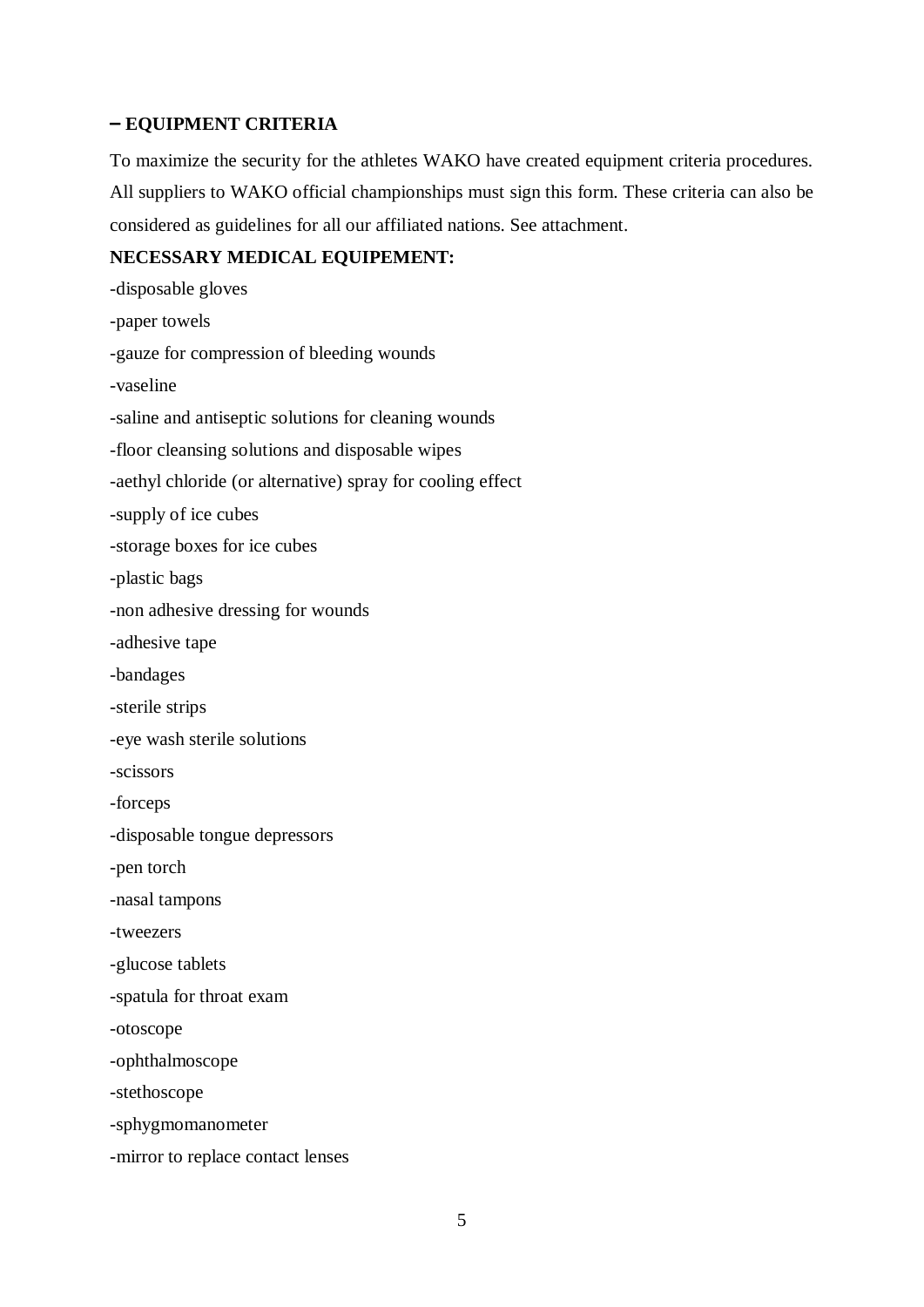# **– EQUIPMENT CRITERIA**

To maximize the security for the athletes WAKO have created equipment criteria procedures. All suppliers to WAKO official championships must sign this form. These criteria can also be considered as guidelines for all our affiliated nations. See attachment.

### **NECESSARY MEDICAL EQUIPEMENT:**

-disposable gloves -paper towels -gauze for compression of bleeding wounds -vaseline -saline and antiseptic solutions for cleaning wounds -floor cleansing solutions and disposable wipes -aethyl chloride (or alternative) spray for cooling effect -supply of ice cubes -storage boxes for ice cubes -plastic bags -non adhesive dressing for wounds -adhesive tape -bandages -sterile strips -eye wash sterile solutions -scissors -forceps -disposable tongue depressors -pen torch -nasal tampons -tweezers -glucose tablets -spatula for throat exam -otoscope -ophthalmoscope -stethoscope -sphygmomanometer -mirror to replace contact lenses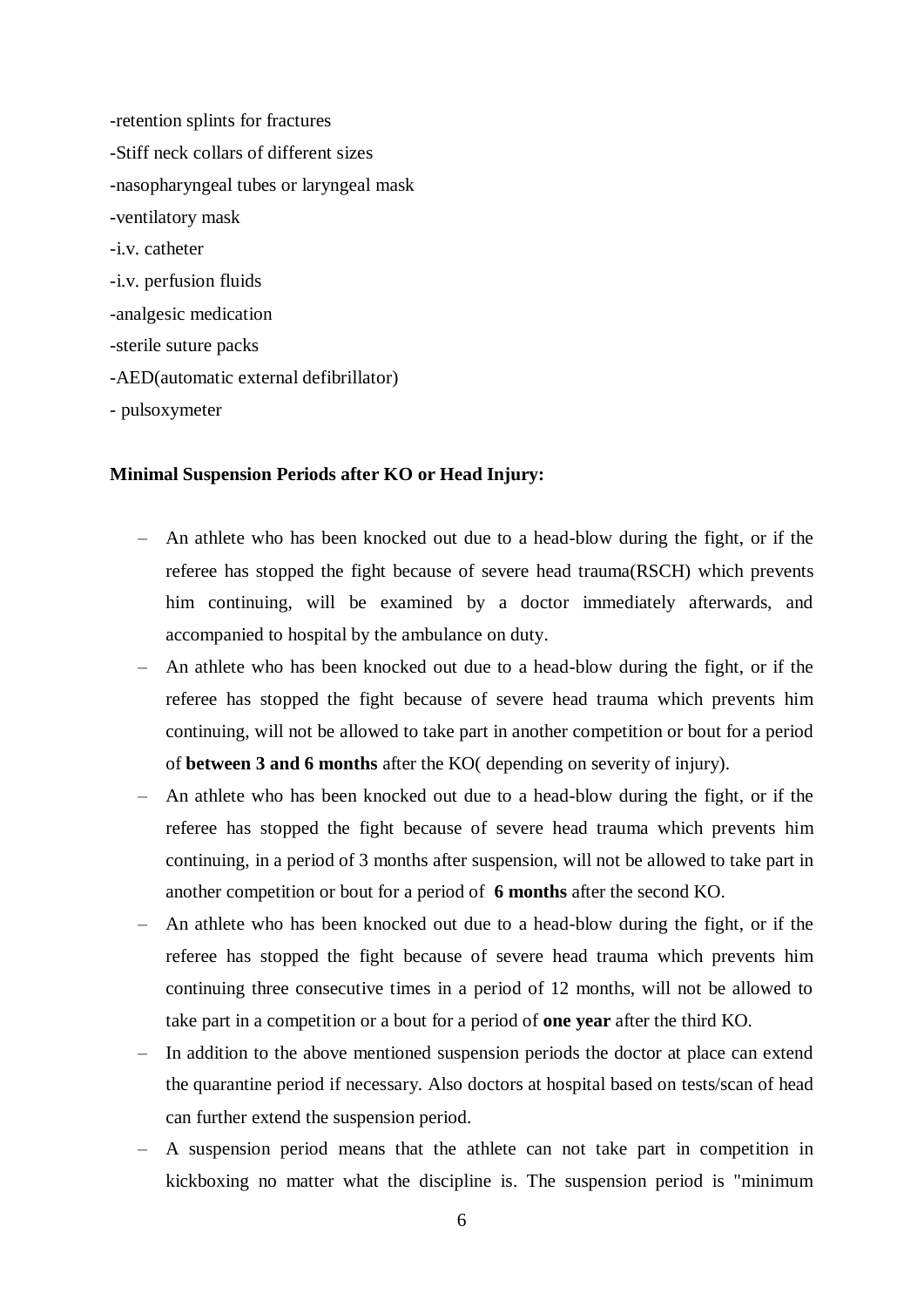-retention splints for fractures -Stiff neck collars of different sizes -nasopharyngeal tubes or laryngeal mask -ventilatory mask -i.v. catheter -i.v. perfusion fluids -analgesic medication -sterile suture packs -AED(automatic external defibrillator) - pulsoxymeter

#### **Minimal Suspension Periods after KO or Head Injury:**

- An athlete who has been knocked out due to a head-blow during the fight, or if the referee has stopped the fight because of severe head trauma(RSCH) which prevents him continuing, will be examined by a doctor immediately afterwards, and accompanied to hospital by the ambulance on duty.
- An athlete who has been knocked out due to a head-blow during the fight, or if the referee has stopped the fight because of severe head trauma which prevents him continuing, will not be allowed to take part in another competition or bout for a period of **between 3 and 6 months** after the KO( depending on severity of injury).
- An athlete who has been knocked out due to a head-blow during the fight, or if the referee has stopped the fight because of severe head trauma which prevents him continuing, in a period of 3 months after suspension, will not be allowed to take part in another competition or bout for a period of **6 months** after the second KO.
- An athlete who has been knocked out due to a head-blow during the fight, or if the referee has stopped the fight because of severe head trauma which prevents him continuing three consecutive times in a period of 12 months, will not be allowed to take part in a competition or a bout for a period of **one year** after the third KO.
- In addition to the above mentioned suspension periods the doctor at place can extend the quarantine period if necessary. Also doctors at hospital based on tests/scan of head can further extend the suspension period.
- A suspension period means that the athlete can not take part in competition in kickboxing no matter what the discipline is. The suspension period is "minimum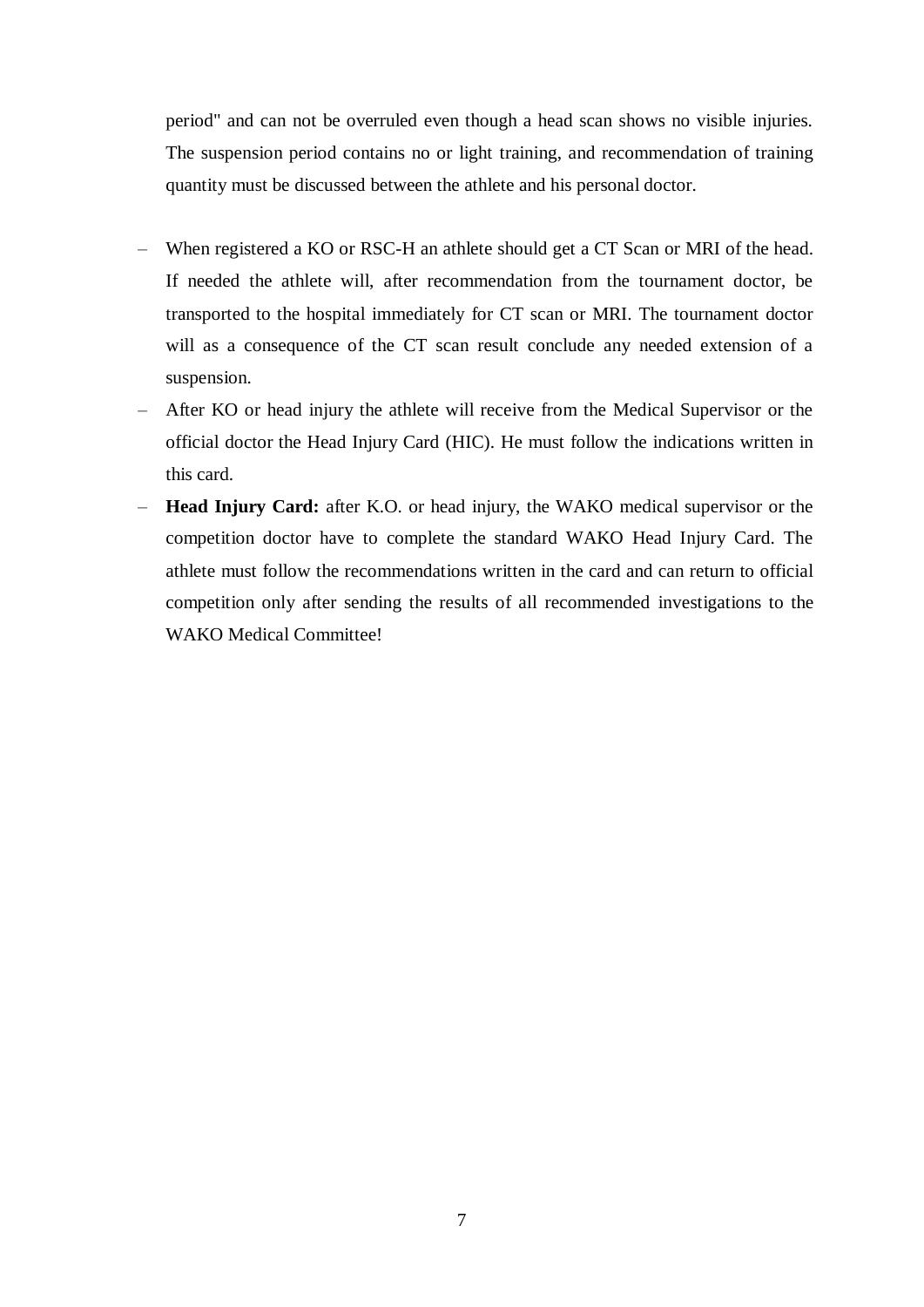period" and can not be overruled even though a head scan shows no visible injuries. The suspension period contains no or light training, and recommendation of training quantity must be discussed between the athlete and his personal doctor.

- When registered a KO or RSC-H an athlete should get a CT Scan or MRI of the head. If needed the athlete will, after recommendation from the tournament doctor, be transported to the hospital immediately for CT scan or MRI. The tournament doctor will as a consequence of the CT scan result conclude any needed extension of a suspension.
- After KO or head injury the athlete will receive from the Medical Supervisor or the official doctor the Head Injury Card (HIC). He must follow the indications written in this card.
- **Head Injury Card:** after K.O. or head injury, the WAKO medical supervisor or the competition doctor have to complete the standard WAKO Head Injury Card. The athlete must follow the recommendations written in the card and can return to official competition only after sending the results of all recommended investigations to the WAKO Medical Committee!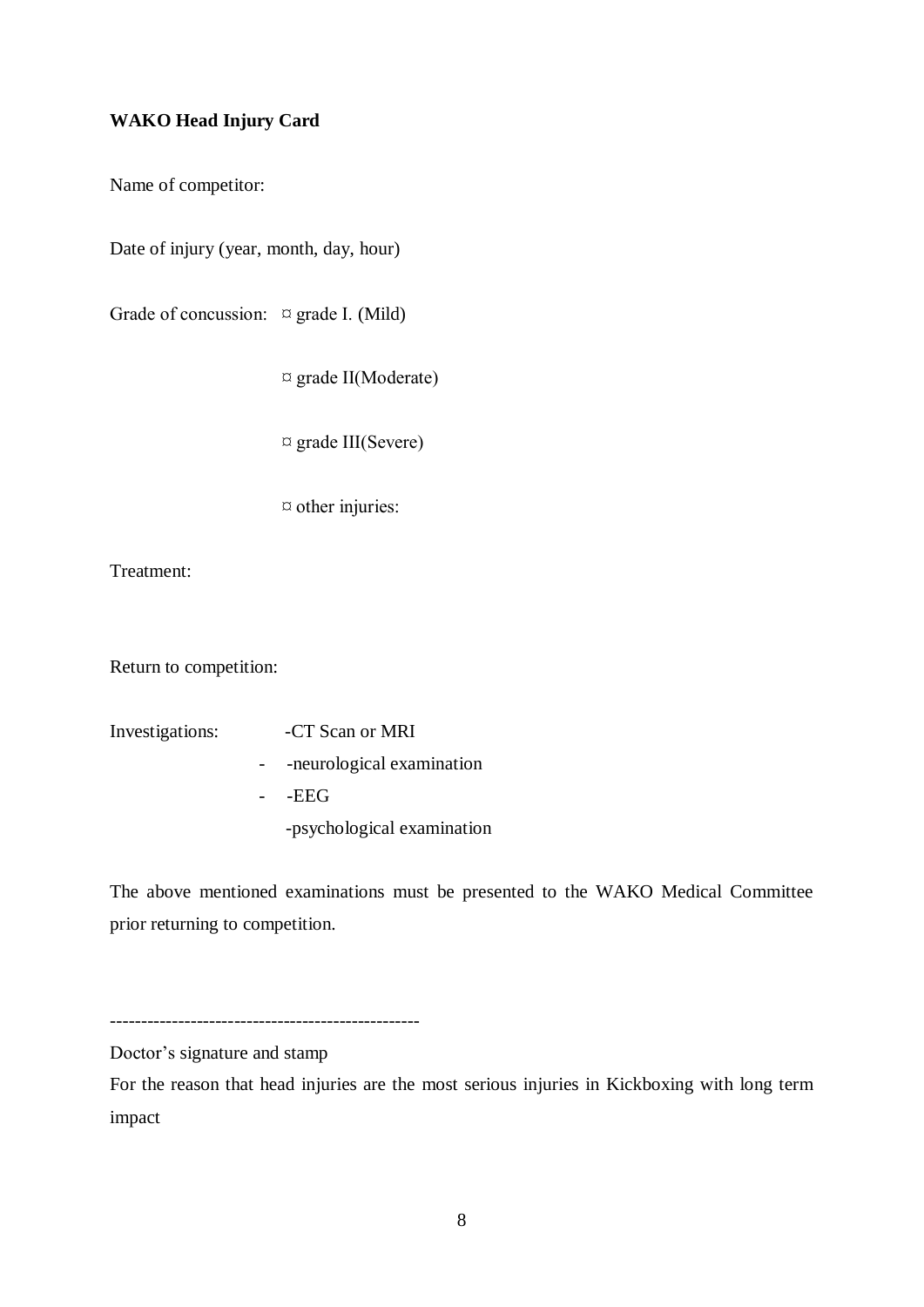# **WAKO Head Injury Card**

Name of competitor:

Date of injury (year, month, day, hour)

Grade of concussion:  $\[\n\alpha\]$  grade I. (Mild)

¤ grade II(Moderate)

 $\alpha$  grade III(Severe)

¤ other injuries:

Treatment:

Return to competition:

Investigations: -CT Scan or MRI

- -neurological examination
- -EEG
	- -psychological examination

The above mentioned examinations must be presented to the WAKO Medical Committee prior returning to competition.

--------------------------------------------------

Doctor's signature and stamp

For the reason that head injuries are the most serious injuries in Kickboxing with long term impact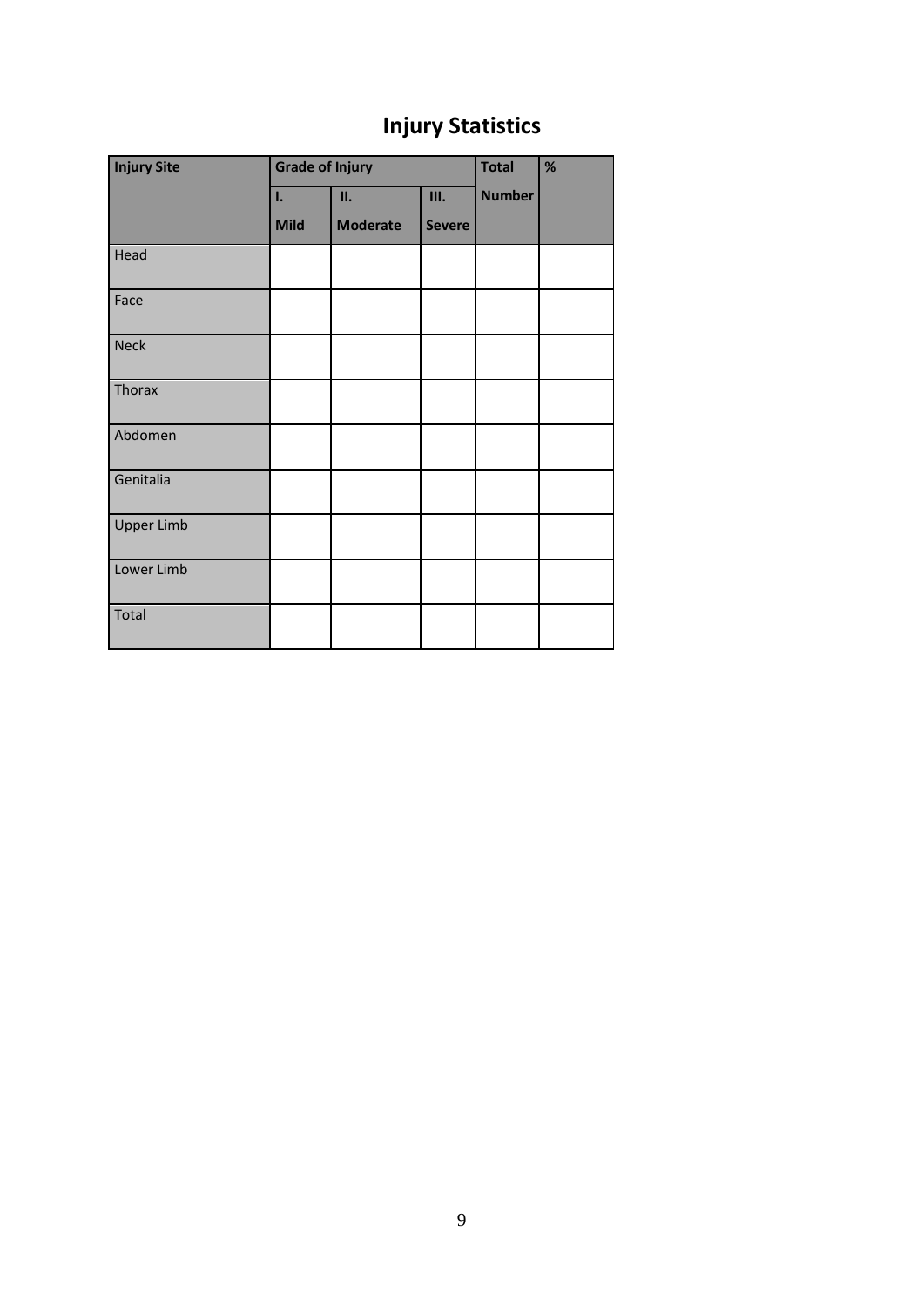# **Injury Statistics**

| <b>Injury Site</b> | <b>Grade of Injury</b> |                 |               | <b>Total</b>  | % |
|--------------------|------------------------|-----------------|---------------|---------------|---|
|                    | I.                     | II.             | Ш.            | <b>Number</b> |   |
|                    | <b>Mild</b>            | <b>Moderate</b> | <b>Severe</b> |               |   |
| Head               |                        |                 |               |               |   |
| Face               |                        |                 |               |               |   |
| Neck               |                        |                 |               |               |   |
| <b>Thorax</b>      |                        |                 |               |               |   |
| Abdomen            |                        |                 |               |               |   |
| Genitalia          |                        |                 |               |               |   |
| <b>Upper Limb</b>  |                        |                 |               |               |   |
| Lower Limb         |                        |                 |               |               |   |
| Total              |                        |                 |               |               |   |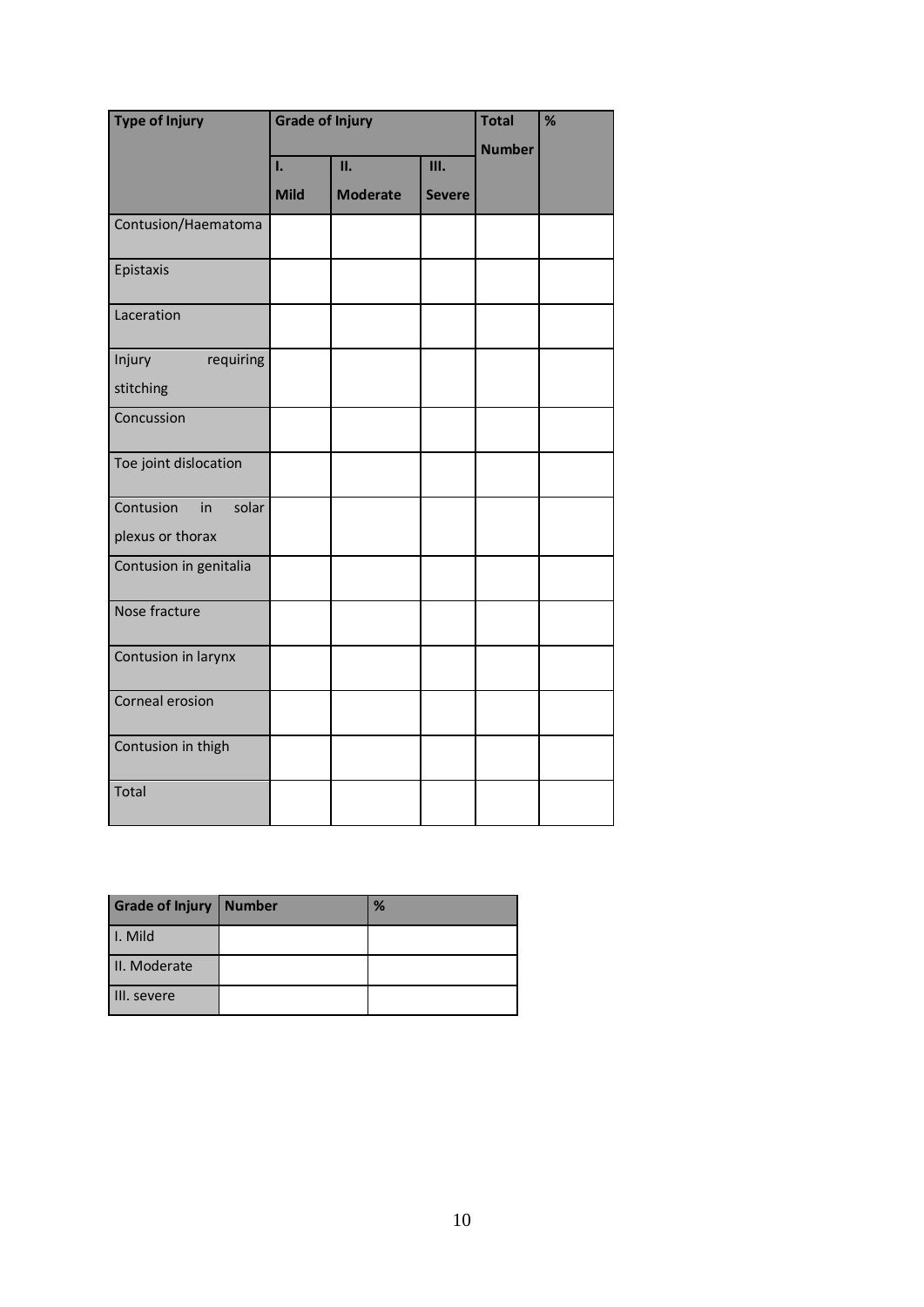| <b>Type of Injury</b>    | <b>Grade of Injury</b> |                 |               | <b>Total</b> | % |
|--------------------------|------------------------|-----------------|---------------|--------------|---|
|                          |                        |                 | <b>Number</b> |              |   |
|                          | Ī.                     | П.              | Ш.            |              |   |
|                          | <b>Mild</b>            | <b>Moderate</b> | <b>Severe</b> |              |   |
| Contusion/Haematoma      |                        |                 |               |              |   |
| Epistaxis                |                        |                 |               |              |   |
| Laceration               |                        |                 |               |              |   |
| Injury<br>requiring      |                        |                 |               |              |   |
| stitching                |                        |                 |               |              |   |
| Concussion               |                        |                 |               |              |   |
| Toe joint dislocation    |                        |                 |               |              |   |
| Contusion<br>solar<br>in |                        |                 |               |              |   |
| plexus or thorax         |                        |                 |               |              |   |
| Contusion in genitalia   |                        |                 |               |              |   |
| Nose fracture            |                        |                 |               |              |   |
| Contusion in larynx      |                        |                 |               |              |   |
| Corneal erosion          |                        |                 |               |              |   |
| Contusion in thigh       |                        |                 |               |              |   |
| Total                    |                        |                 |               |              |   |

| Grade of Injury   Number | % |
|--------------------------|---|
| I. Mild                  |   |
| II. Moderate             |   |
| III. severe              |   |